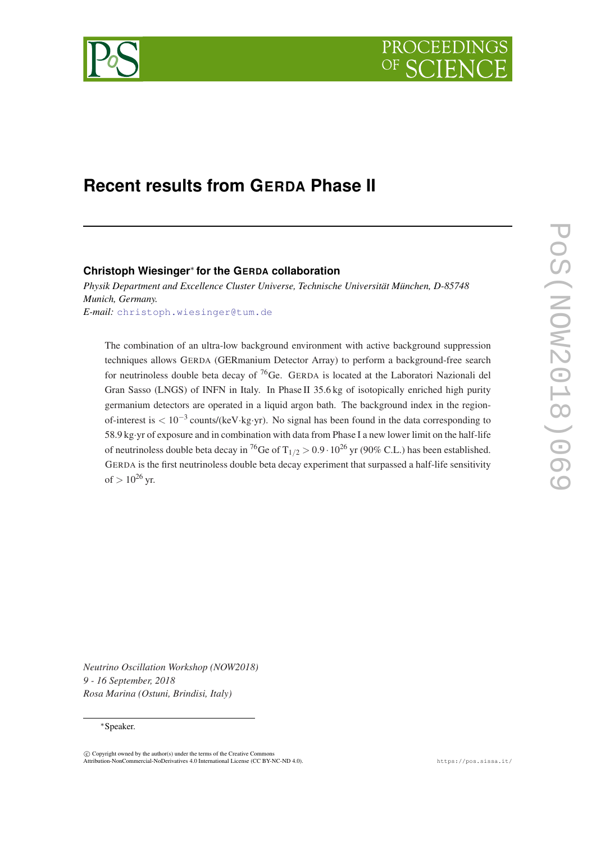



# **Recent results from GERDA Phase II**

## **Christoph Wiesinger**<sup>∗</sup> **for the GERDA collaboration**

*Physik Department and Excellence Cluster Universe, Technische Universität München, D-85748 Munich, Germany. E-mail:* [christoph.wiesinger@tum.de](mailto:christoph.wiesinger@tum.de)

The combination of an ultra-low background environment with active background suppression techniques allows GERDA (GERmanium Detector Array) to perform a background-free search for neutrinoless double beta decay of  $^{76}$ Ge. GERDA is located at the Laboratori Nazionali del Gran Sasso (LNGS) of INFN in Italy. In Phase II 35.6 kg of isotopically enriched high purity germanium detectors are operated in a liquid argon bath. The background index in the regionof-interest is  $< 10^{-3}$  counts/(keV⋅kg⋅yr). No signal has been found in the data corresponding to 58.9 kg·yr of exposure and in combination with data from Phase I a new lower limit on the half-life of neutrinoless double beta decay in <sup>76</sup>Ge of T<sub>1/2</sub> > 0.9 · 10<sup>26</sup> yr (90% C.L.) has been established. GERDA is the first neutrinoless double beta decay experiment that surpassed a half-life sensitivity of  $> 10^{26}$  yr.

*Neutrino Oscillation Workshop (NOW2018) 9 - 16 September, 2018 Rosa Marina (Ostuni, Brindisi, Italy)*

#### <sup>∗</sup>Speaker.

 $\overline{c}$  Copyright owned by the author(s) under the terms of the Creative Common Attribution-NonCommercial-NoDerivatives 4.0 International License (CC BY-NC-ND 4.0). https://pos.sissa.it/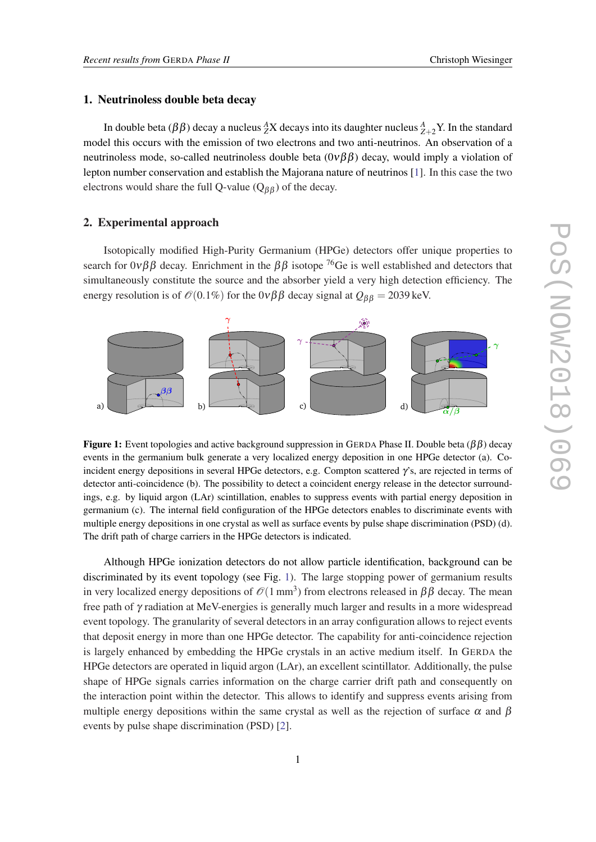#### 1. Neutrinoless double beta decay

In double beta ( $\beta\beta$ ) decay a nucleus  $^A_ZX$  decays into its daughter nucleus  $^A_{Z+2}Y$ . In the standard model this occurs with the emission of two electrons and two anti-neutrinos. An observation of a neutrinoless mode, so-called neutrinoless double beta  $(0\nu\beta\beta)$  decay, would imply a violation of lepton number conservation and establish the Majorana nature of neutrinos [[1](#page-3-0)]. In this case the two electrons would share the full Q-value ( $Q_{\beta\beta}$ ) of the decay.

#### 2. Experimental approach

Isotopically modified High-Purity Germanium (HPGe) detectors offer unique properties to search for  $0\nu\beta\beta$  decay. Enrichment in the  $\beta\beta$  isotope <sup>76</sup>Ge is well established and detectors that simultaneously constitute the source and the absorber yield a very high detection efficiency. The energy resolution is of  $\mathcal{O}(0.1\%)$  for the  $0\nu\beta\beta$  decay signal at  $Q_{\beta\beta} = 2039$  keV.



**Figure 1:** Event topologies and active background suppression in GERDA Phase II. Double beta ( $\beta\beta$ ) decay events in the germanium bulk generate a very localized energy deposition in one HPGe detector (a). Coincident energy depositions in several HPGe detectors, e.g. Compton scattered  $\gamma$ 's, are rejected in terms of detector anti-coincidence (b). The possibility to detect a coincident energy release in the detector surroundings, e.g. by liquid argon (LAr) scintillation, enables to suppress events with partial energy deposition in germanium (c). The internal field configuration of the HPGe detectors enables to discriminate events with multiple energy depositions in one crystal as well as surface events by pulse shape discrimination (PSD) (d). The drift path of charge carriers in the HPGe detectors is indicated.

Although HPGe ionization detectors do not allow particle identification, background can be discriminated by its event topology (see Fig. 1). The large stopping power of germanium results in very localized energy depositions of  $\mathcal{O}(1 \text{ mm}^3)$  from electrons released in  $\beta\beta$  decay. The mean free path of γ radiation at MeV-energies is generally much larger and results in a more widespread event topology. The granularity of several detectors in an array configuration allows to reject events that deposit energy in more than one HPGe detector. The capability for anti-coincidence rejection is largely enhanced by embedding the HPGe crystals in an active medium itself. In GERDA the HPGe detectors are operated in liquid argon (LAr), an excellent scintillator. Additionally, the pulse shape of HPGe signals carries information on the charge carrier drift path and consequently on the interaction point within the detector. This allows to identify and suppress events arising from multiple energy depositions within the same crystal as well as the rejection of surface  $\alpha$  and  $\beta$ events by pulse shape discrimination (PSD) [[2](#page-3-0)].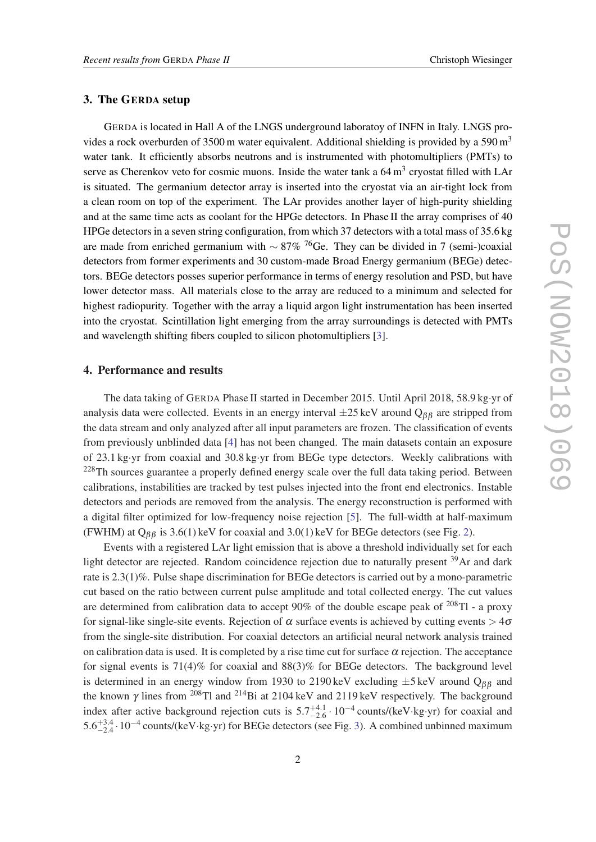#### 3. The GERDA setup

GERDA is located in Hall A of the LNGS underground laboratoy of INFN in Italy. LNGS provides a rock overburden of 3500 m water equivalent. Additional shielding is provided by a 590 m<sup>3</sup> water tank. It efficiently absorbs neutrons and is instrumented with photomultipliers (PMTs) to serve as Cherenkov veto for cosmic muons. Inside the water tank a  $64 \text{ m}^3$  cryostat filled with LAr is situated. The germanium detector array is inserted into the cryostat via an air-tight lock from a clean room on top of the experiment. The LAr provides another layer of high-purity shielding and at the same time acts as coolant for the HPGe detectors. In Phase II the array comprises of 40 HPGe detectors in a seven string configuration, from which 37 detectors with a total mass of 35.6 kg are made from enriched germanium with  $\sim 87\%$  <sup>76</sup>Ge. They can be divided in 7 (semi-)coaxial detectors from former experiments and 30 custom-made Broad Energy germanium (BEGe) detectors. BEGe detectors posses superior performance in terms of energy resolution and PSD, but have lower detector mass. All materials close to the array are reduced to a minimum and selected for highest radiopurity. Together with the array a liquid argon light instrumentation has been inserted into the cryostat. Scintillation light emerging from the array surroundings is detected with PMTs and wavelength shifting fibers coupled to silicon photomultipliers [\[3\]](#page-3-0).

#### 4. Performance and results

The data taking of GERDA Phase II started in December 2015. Until April 2018, 58.9 kg·yr of analysis data were collected. Events in an energy interval  $\pm 25 \text{ keV}$  around  $Q_{\beta\beta}$  are stripped from the data stream and only analyzed after all input parameters are frozen. The classification of events from previously unblinded data [[4](#page-3-0)] has not been changed. The main datasets contain an exposure of 23.1 kg·yr from coaxial and 30.8 kg·yr from BEGe type detectors. Weekly calibrations with <sup>228</sup>Th sources guarantee a properly defined energy scale over the full data taking period. Between calibrations, instabilities are tracked by test pulses injected into the front end electronics. Instable detectors and periods are removed from the analysis. The energy reconstruction is performed with a digital filter optimized for low-frequency noise rejection [[5](#page-3-0)]. The full-width at half-maximum (FWHM) at  $Q_{\beta\beta}$  is 3.6(1) keV for coaxial and 3.0(1) keV for BEGe detectors (see Fig. [2](#page-3-0)).

Events with a registered LAr light emission that is above a threshold individually set for each light detector are rejected. Random coincidence rejection due to naturally present <sup>39</sup>Ar and dark rate is 2.3(1)%. Pulse shape discrimination for BEGe detectors is carried out by a mono-parametric cut based on the ratio between current pulse amplitude and total collected energy. The cut values are determined from calibration data to accept 90% of the double escape peak of  $^{208}$ Tl - a proxy for signal-like single-site events. Rejection of  $\alpha$  surface events is achieved by cutting events  $> 4\sigma$ from the single-site distribution. For coaxial detectors an artificial neural network analysis trained on calibration data is used. It is completed by a rise time cut for surface  $\alpha$  rejection. The acceptance for signal events is 71(4)% for coaxial and 88(3)% for BEGe detectors. The background level is determined in an energy window from 1930 to 2190 keV excluding  $\pm$ 5 keV around Q<sub>ββ</sub> and the known  $\gamma$  lines from <sup>208</sup>Tl and <sup>214</sup>Bi at 2104 keV and 2119 keV respectively. The background index after active background rejection cuts is  $5.7^{+4.1}_{-2.6} \cdot 10^{-4}$  counts/(keV⋅kg⋅yr) for coaxial and 5.6<sup> $+3.4$  $+3.4$  $+3.4$ </sup> · 10<sup>-4</sup> counts/(keV·kg·yr) for BEGe detectors (see Fig. 3). A combined unbinned maximum